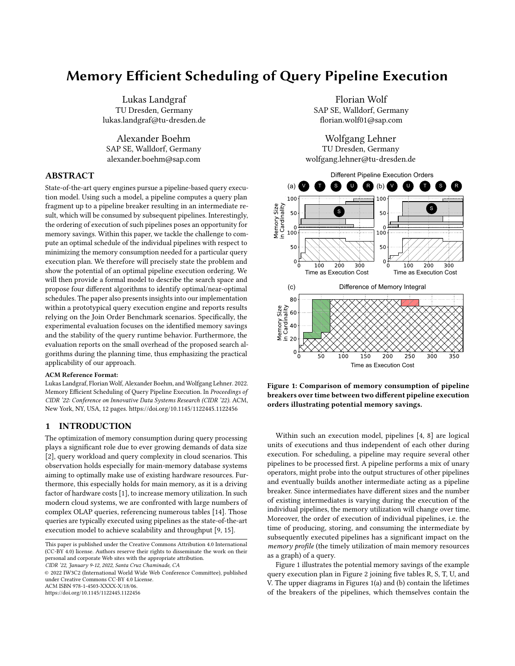# Memory Efficient Scheduling of Query Pipeline Execution

Lukas Landgraf TU Dresden, Germany lukas.landgraf@tu-dresden.de

Alexander Boehm SAP SE, Walldorf, Germany alexander.boehm@sap.com

# ABSTRACT

State-of-the-art query engines pursue a pipeline-based query execution model. Using such a model, a pipeline computes a query plan fragment up to a pipeline breaker resulting in an intermediate result, which will be consumed by subsequent pipelines. Interestingly, the ordering of execution of such pipelines poses an opportunity for memory savings. Within this paper, we tackle the challenge to compute an optimal schedule of the individual pipelines with respect to minimizing the memory consumption needed for a particular query execution plan. We therefore will precisely state the problem and show the potential of an optimal pipeline execution ordering. We will then provide a formal model to describe the search space and propose four different algorithms to identify optimal/near-optimal schedules. The paper also presents insights into our implementation within a prototypical query execution engine and reports results relying on the Join Order Benchmark scenarios. Specifically, the experimental evaluation focuses on the identified memory savings and the stability of the query runtime behavior. Furthermore, the evaluation reports on the small overhead of the proposed search algorithms during the planning time, thus emphasizing the practical applicability of our approach.

#### ACM Reference Format:

Lukas Landgraf, Florian Wolf, Alexander Boehm, and Wolfgang Lehner. 2022. Memory Efficient Scheduling of Query Pipeline Execution. In Proceedings of CIDR '22: Conference on Innovative Data Systems Research (CIDR '22). ACM, New York, NY, USA, 12 pages.<https://doi.org/10.1145/1122445.1122456>

# 1 INTRODUCTION

The optimization of memory consumption during query processing plays a significant role due to ever growing demands of data size [2], query workload and query complexity in cloud scenarios. This observation holds especially for main-memory database systems aiming to optimally make use of existing hardware resources. Furthermore, this especially holds for main memory, as it is a driving factor of hardware costs [1], to increase memory utilization. In such modern cloud systems, we are confronted with large numbers of complex OLAP queries, referencing numerous tables [14]. Those queries are typically executed using pipelines as the state-of-the-art execution model to achieve scalability and throughput [9, 15].

CIDR '22, January 9-12, 2022, Santa Cruz Chaminade, CA

© 2022 IW3C2 (International World Wide Web Conference Committee), published under Creative Commons CC-BY 4.0 License.

ACM ISBN 978-1-4503-XXXX-X/18/06.

<https://doi.org/10.1145/1122445.1122456>

Florian Wolf SAP SE, Walldorf, Germany florian.wolf01@sap.com

Wolfgang Lehner TU Dresden, Germany wolfgang.lehner@tu-dresden.de



Figure 1: Comparison of memory consumption of pipeline breakers over time between two different pipeline execution orders illustrating potential memory savings.

Within such an execution model, pipelines [4, 8] are logical units of executions and thus independent of each other during execution. For scheduling, a pipeline may require several other pipelines to be processed first. A pipeline performs a mix of unary operators, might probe into the output structures of other pipelines and eventually builds another intermediate acting as a pipeline breaker. Since intermediates have different sizes and the number of existing intermediates is varying during the execution of the individual pipelines, the memory utilization will change over time. Moreover, the order of execution of individual pipelines, i.e. the time of producing, storing, and consuming the intermediate by subsequently executed pipelines has a significant impact on the memory profile (the timely utilization of main memory resources as a graph) of a query.

Figure 1 illustrates the potential memory savings of the example query execution plan in Figure 2 joining five tables R, S, T, U, and V. The upper diagrams in Figures 1(a) and (b) contain the lifetimes of the breakers of the pipelines, which themselves contain the

This paper is published under the Creative Commons Attribution 4.0 International (CC-BY 4.0) license. Authors reserve their rights to disseminate the work on their personal and corporate Web sites with the appropriate attribution.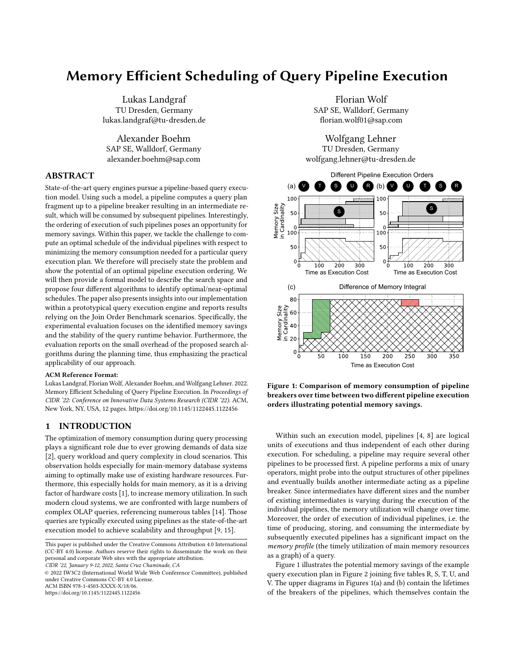

Figure 2: Example QEP of joining five tables with annotated cardinalities, extended by according pipeline view with pipeline breakers and their sizes, from which a precedence relationship of pipelines and further an AoN-Tree can be derived.

intermediates at the end of each pipelines. Those breaker lifetimes add up and result in the memory profile in the lower part of said two figures. In Figure 2, the intermediate result cardinalities of the individual pipeline fragments are annotated at the query execution plan edges. To evaluate the memory usage of the query execution plan over time, we need the memory sizes and the lifetimes of the pipeline breakers. For the example in Figure 2(b) and (d), we assume that the memory sizes of the pipeline breakers are equal to the cardinality of the intermediate result in the pipeline breaker. The lifetime of a pipeline breaker depends on the execution time, i.e., the execution cost, of other pipelines. Because the example is a pure join query, we abstract the execution cost of a pipeline to be the number of hash join probes executed by the pipeline.

From the precedence relationship of pipelines in Figure 2(c), we can derive at least two different pipeline execution schedules resulting in creation and consumption of intermediates at different points during query execution. The two execution orders in Figure 1, (V,U,T,S,R) and (V,T,S,U,R) thus result in different memory profiles. In the plot at the bottom of Figure 1, the green area shows the savings, and the red area the losses of the execution order (V,U,T,S,R) compared to (V,T,S,U,R): executing pipeline (S) with the large intermediate as late as possible seems favorable to keep this intermediate in memory as short as possible. Comparing the two different memory profiles of these execution orders shows a potential memory utilization reduction of 6.3%, illustrating the potential impact of pipeline execution orderings.

# Contributions

We introduce a lightweight optimization step after query optimization but before plan execution, which can be easily integrated into existing DBMS. Our contributions build on query execution plans as the output of a query optimizer, annotated with estimated cost and cardinalities. Based on these foundations, the paper encompasses the following contributions:

This paper introduces Pipelines Execution Orders (PEOs) as a conceptional model for our scheduling optimizations. (Section 2)

We show the potential of optimizing the schedule of query execution pipelines with respect to memory consumption during the lifetime of a query. (Subsection 5.2)

The paper discusses different optimization goals (memory integral; peak consumption; memory robustness) and make the case for the *memory integral* as a measure for the memory consumption of a given join tree. (Subsection 3.1)

We introduce a formal framework to efficiently derive an optimal schedule. (Subsection 3.2)

- To identify query execution pipeline schedules, we describe and evaluate different algorithms (Exhaustive Search, Branch Pruning Search, Theta Skip Search, and Longest Path Heuristic). (Subsection 3 and Section 4)
- We provide insights of an integration into an existing prototypical database engine applying the pipeline-based execution model and investigate the additional planning overhead. (Subsection 5.5)
- We experimentally show that the schedule may only have an impact on the memory utilization over time. (Subsection 5.4)

As of now, we rely on the observation of [9] that one pipeline-ata-time achieves the best throughput, and thus keep a system busy by processing only a single pipeline at any time; the memory optimized scheduling of multiple concurrent pipelines is subject to future research and goes beyond the mission of this CIDR-publication.

# Structure

This paper continues with the introduction of PEOs as conceptional model for our scheduling optimizations in Section 2 and presents different scheduling algorithms in the Sections 3 and 4. Section 5 will then provide insights into the implementation and findings of the experimental evaluation. The paper closes with a brief review of related work (Section 6) and a summary (Section 7).

# 2 PIPELINE EXECUTION ORDER

Our underlying conceptual model interprets a query execution plan as a set of pipelines and a set of pipeline dependencies, as illustrated in Figure 2. A pipeline is a sequence of physical operators,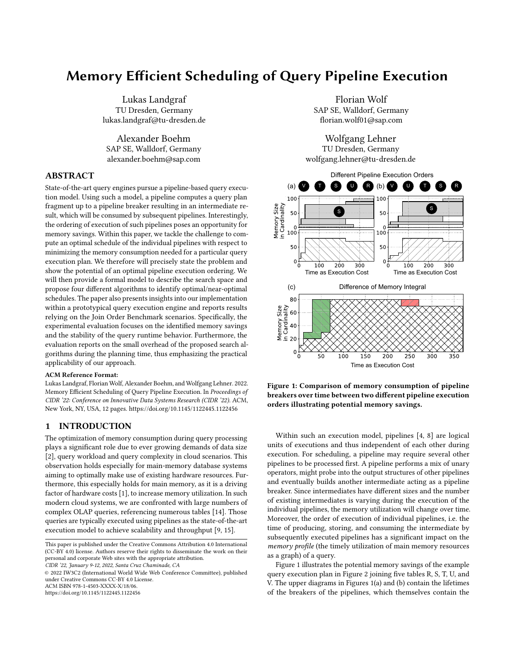

Figure 3: Example of memory consumption charts: Resource (Gantt) chart showing the consumed memory of each pipeline over time, and corresponding memory profile, showing the sum of used memory resources over time.

in which fragments of intermediate results are passed from one operator to the next. We refer to hash joins as our standard example of a physical operator. The build-side of a hash join then corresponds to the end of a pipeline, called a pipeline breaker. A pipeline with potentially multiple operators may then also depend on the intermediate results in the pipeline breakers of other pipelines. In the example of a join query using hash joins, one pipeline may contain the probe-sides of different hash joins, probing into the corresponding build-sides, i.e., pipeline breakers of other pipelines. Once a pipeline has finished and produced a new intermediate or the final result, all referenced intermediates, e.g., hash tables against which the current pipeline has probed, can be released. In other words: once a pipeline breaker is built, it has to stay in memory until it has been consumed, e.g., probed.

To illustrate the optimization space we utilize, Figure 3(a) shows an example Gantt-chart [5] containing the different phases in the lifetime of three pipeline breakers  $b_i$ ,  $b_{i-1}$ , and  $b_{i-2}$  of the corresponding pipelines  $p_i$ ,  $p_{i,1}$  and  $p_{i,2}$ . From the Gantt-chart on the upper part of Figure 3, we can derive the memory profile or memory integral in 3(b). The y-axis in Figure 3 describes the consumed memory size of the pipeline breakers, and the x-axis the lifespan of the pipeline breakers, which can be separated into four phases: (1) The constructing phase, which is dominated by the execution of the preceding pipeline, and fills the breaker with tuples. The entire hash table is assumed to be allocated at an instant and before execution. (2) The waiting phase, where the breaker is not touched and waits to be consumed. (3) The consumption phase, where another pipeline reads the intermediate result from the pipeline breaker, e.g., through probing. (4) The deallocating phase, which frees the memory of the pipeline breaker.

The example in Figure 3 further shows the interdependencies between the phases of the three different pipelines. The pipeline breakers  $b_i$  and  $b_{i-1}$  are supposed to be consumed by the pipeline  $pi_{\perp}$ ?. For a correct execution, it does not matter whether  $b_i$  or  $b_{i,\perp}$ is executed first. This degree of freedom creates the optimization space in this example. Figure 3 illustrates the worse decision, i.e., executing  $p_i$  first: The intermediate result in  $b_i$  is larger compared to  $b_{i,1}$ , and the larger result in  $b_i$  has to stay in memory for the construction time of  $b_{i,1}$ , which is considerably longer compared to the construction time of  $b_i$ .

DEFINITION 1 (PIPELINE EXECUTION ORDER). A Pipeline Execution Order (PEO) O is a sequence of n pipelines  ${}^{1}p_{1},...,p_{i},...,p_{j}$  $p_j, \ldots, p_n^{\circ}$  given in a query execution plan where pipeline  $p_i$   $\forall p_j$ , if the computation of pipeline  $p_i$  requires the output of pipeline  $p_i$ . For all dependencies  $p_i$   $\ddot{Y} p_j$  in O there must be no sub-sequence  $1..., p_i, ..., p_i, ...$ <sup>o</sup>, such that the PEO fulfills all dependencies.

We refer to the term *precedence relationships* [5, 6] for the dependencies  $p_i$  *Y*  $p_j$  (see Figure 2). The notation  $p_i$  *Y*  $p_j$  (read  $\hat{p}_i$  depends on  $\hat{p}_i$ ) is used for interdependent tasks in scheduling theory literature [5, 6] and we use it similarly to describe legal orderings of pipelines. The precedence relationships of individual pipelines can be derived from the QEP according to the selected physical operators. Alternatively, the dependencies can be explicitly provided by the query optimizer.

In our experiments in Subsection 5.4, we found that different PEOs result in the same query execution time, because all pipelines of a QEP have to be executed. Solely the memory consumption can be different. Typically, query execution engines choose one QEP that is correct according to the definition, but not necessarily a QEP that has optimal memory consumption.

# 3 OPTIMAL SCHEDULING ALGORITHMS

In order to find an optimal PEO with respect to memory consumption, we enumerate PEOs, assign cost to each PEO, and consider the cheapest PEO as optimal. Next, we discuss optimization goals,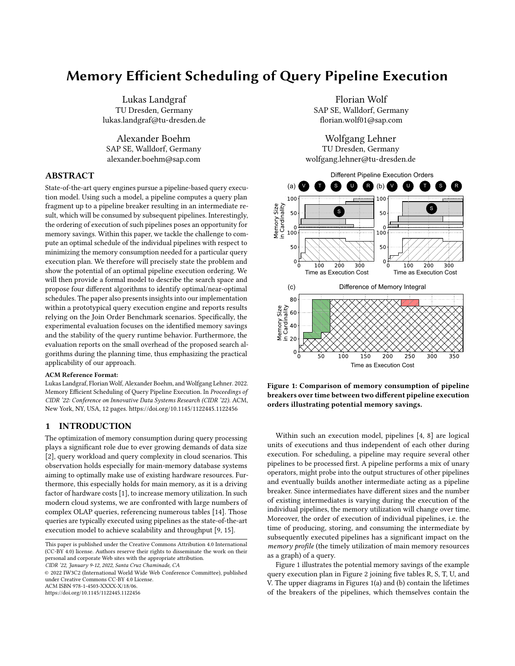from which we derive our memory cost model for PEOs. Further, we describe the PEO search space and present two enumeration algorithms, which traverse the Activity-on-Node Tree (AoN-Tree) and guarantee to find the optimal PEO according to estimated cost.

#### 3.1 Optimization Goals

Optimizing the PEO with respect to memory consumption can have different objectives. We identified the following optimization goals:

Minimizing Memory Integral: The memory integral quantifies the space below the memory profile, which describes the memory utilization over the query execution time. For a given PEO, the memory integral is computed by accumulating the product of pipeline breaker lifetime and pipeline breaker size over all pipeline breakers in the query execution plan. The lifetime of a pipeline breaker starts at the beginning of the corresponding pipeline and ends once the intermediate in the pipeline breaker was consumed, i.e., at the end of its consuming pipeline. Thus, the lifetime of the pipeline breaker also depends on the execution time of sibling pipelines that have to be executed before the consuming pipeline can start.

Minimizing Peak Consumption: Next to minimizing the memory integral, minimizing the peak consumption aims at generating a PEO with the lowest peak memory consumption during the lifetime of a query. While this strategy might be extremely beneficial for multi-query scenarios with extreme memory pressure, we position this strategy as a tie breaker for PEOs with the same memory integral. During our experimental evaluations, we observed an implicit reduction of the average memory consumption in PEOs with a lower overall memory integral.

Robust Memory Consumption: Minimizing the variance of the memory consumption throughout the lifetime of a query is the third optimization goal and aims for a more constant, i.e. more stable memory consumption behavior. This strategy is particularly interesting from a system perspective, ideally looking at all actively running queries in a system. Because this is beyond the scope of the optimization of a single query and thus beyond the scope of this paper, we do not further elaborate on this aspect.

Throughout our experiments in Section 5, we identified the strongest benefits when minimizing the memory integral. Consequently, we continue with a memory integral cost model for PEOs.

# 3.2 Cost Model

Next, we describe the building blocks of a memory-integral-based cost model for PEOs. In addition to the PEO, another input of our cost model is the corresponding QEP with estimated intermediate result cardinalities and estimated costs of all sub-trees in the query execution plan.

To formalize our cost function, we rely on the notation shown in Figure 5: A QEP has sub-tress  $s_i$  with estimated execution cost  $c_i$ . The result of a sub-tree  $s_i$  has the cardinality  $f_i$ , the row size  $w_i$ , and is written into the pipeline breaker  $b_i$ . Pipeline breaker  $b_i$  marks the end of pipeline  $\hat{p}_i$ . In contrast to the execution cost  $c_i$  of the

| Var.       | Definition                      | [Unit]/(Type)        |
|------------|---------------------------------|----------------------|
| $S_i$      | Sub-Tree                        | no unit              |
| $p_i$      | Pipeline of $s_i$               | no unit              |
| $c_i$      | Generic Cost Model Cost         | [step]               |
|            | for sub-tree $s_i$              |                      |
| $e_i$      | Execution Cost of $p_i$         | [step]               |
| $b_i$      | Pipeline Breaker of $p_i$       | no unit              |
| $m_i$      | Memory Cost of $b_i$            | [B]                  |
| fi         | Cardinality of $b_i$            | no unit              |
| $W_i$      | Tuple Size of $b_i$             | [B]                  |
| $\sigma_i$ | Writing Costs of b <sub>i</sub> | [step]               |
| $l_i$      | Lifetime of $b_i$               | [step]               |
| МI         | Memory Integral                 | $[step*B]$           |
| $\Omega$   | PEO                             | (tuple of pipelines) |
| P          | Set of all pipelines            | (set)                |
| D          | Dependency Matrix               | (matrix)             |

Figure 4: This table lists all variables used in Section 3.2



Figure 5: Illustration of pipelines with annotated notation, showing a QEP subtree  $s_i$  having execution cost  $c_i$ , a pipeline  $p_i$  having execution cost  $e_i$ , and the corresponding pipeline breaker  $b_i$ , storing a result with cardinality  $f_i$ , row size  $w_i$ , an overall memory size  $m_i$ , and writing cost  $\sigma_i$ .

entire sub-tree  $s_i$ , the cost of executing just pipeline  $p_i$  is execution cost  $e_i$ . Because the estimated execution cost  $c_i$  of sub-tree  $s_i$  does not contain the cost of writing the result of sub-tree  $s_i$  into pipeline breaker  $b_i$ , we have to consider this effort as execution cost  $\sigma_i$ . Finally,  $l_i$  is the lifetime of a pipeline breaker  $b_i$ . The sub-trees  $s_i$ , their estimated cardinalities  $f_i$ , row size  $w_i$ , and execution costs  $c_i$  and  $\sigma_i$ , are input parameters of our cost model and have to be calculated in the initial query optimization.

3.2.1 Memory Size of a Pipeline Breaker. We approximate the memory size  $m_i$  (unit [B]) of a pipeline breaker  $b_i$  by the product of its corresponding cardinality  $f_i$  and row size  $w_i$  so that:  $m_i = w_i$   $f_i$ . In the example of hash joins, this approximation is based on the assumption that pipeline breakers consist of densely-packed hash tables to be oblivious to the hash table implementation. We further define the vector of pipeline breaker memory sizes  $m$  for a given PEO  $O = {}^{1}p_0, \ldots, p_i, \ldots, p_n^{\circ}$  as  $m = {}^{1}m_1, \ldots, m_i, \ldots, m_n^{\circ}$ .

3.2.2 Pipeline Execution Time. To approximate the lifetime of a single pipeline breaker, we first have to approximate the execution times of single pipelines. We argue that the execution time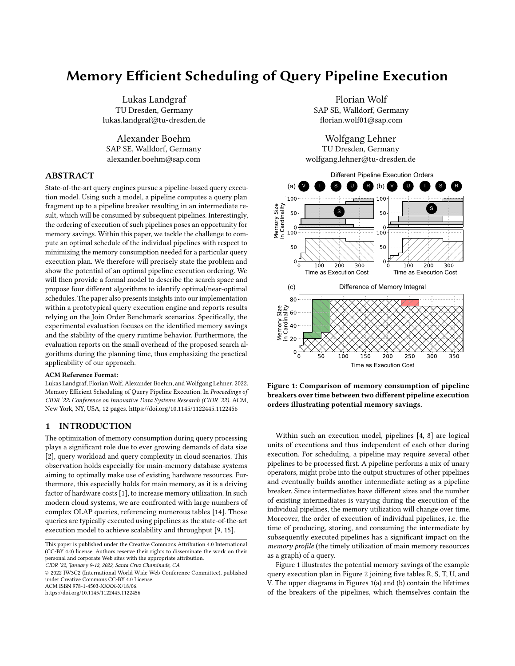of a pipeline can be approximated by the execution cost  $e_i$  of the pipeline, which we propose to derive as follows: Take the estimated execution cost  $c_i$  of the corresponding sub-tree  $s_i$  and subtract the estimated execution cost  $c_j$  of all sub-trees  $s_j$  of  $s_i$ , where  $s_j$  are only sub-trees whose pipeline breaker  $b_i$  is consumed by pipeline  $p_i$ . To further approximate the pipeline execution time  $\sigma_i$  is added to  $e_i$  in order to account for the cost of writing the result of sub-tree  $s_i$  and pipeline  $p_i$  into pipeline breaker  $b_i$ .

$$
e_i = c_i \sum_{p_j < p_i} c_j \cdot \sigma_i \tag{1}
$$

For our running example, we use the  $C_{out}$  cost function [7], which just adds up the output cardinalities of all operators, including base table scans. Because the basic  $C_{out}$  cost function does not split the cost of a hash join in build and probe cost, we set the cost  $\sigma_i$  of writing into the pipeline breaker, e.g., the hash table, to 0, since  $C_{out}$  already includes the cardinality of the result.

Equation 1, however, does not specify which costs obtained from the cost function  $c_i$  to subtract from  $c_i$ . Next we will define a dependency matrix to correctly calculate the pipeline execution costs for all pipelines.

Recall that a PEO  ${\cal O}$  is defined as a sequence of pipelines  ${\cal O}$  =  ${}^{1}p_{k}$ , ...,  $p_{i}$ , ...,  $p_{j}$ <sup>o</sup> based on the set of pipelines  $P = [p_{1}, ..., p_{n}]$ . In order to be able to reflect the precedence relationship we use the matrix  $D : P \cdot P$  ! f0, 1g, called the dependency matrix. The matrix is filled with 1s where the corresponding pipeline of each row is depending on the pipeline breaker of the pipeline indicated by the column:

$$
D = p_i \quad \begin{pmatrix} p_1 & \dots & p_j & \dots & p_n \\ 0 & \dots & 1 & \dots & 0 \\ \dots & \dots & \dots & \dots & \dots \\ 0 & \dots & 0 & \dots & 0 \\ \dots & \dots & \dots & \dots & \dots \\ p_n & 0 & \dots & 0 & \dots & 0 \end{pmatrix}
$$

or more formally:

$$
D_{i,j} = \begin{cases} 1 \text{ if } p_i \text{ depends on } p_j \\ 0 \text{ else} \end{cases}
$$

We denote  $\mathcal{C} = {}^{1}c_{k}, \ldots, c_{i}, \ldots, c_{i}$ <sup>o</sup> as the vector containing the execution costs  $c_i$  of a subtree  $s_i$  according to pipeline  $p_i$ , in the order of pipelines in the PEO O. Also, we define a vector  $\ddot{f}$  =  ${}^1f_k, \ldots, \overline{f_i}, \ldots, \overline{f_j}$  of corresponding result cardinalities in each pipeline breaker, and vector  $\hat{\theta} = {}^{\dagger} \sigma_k, \ldots, \sigma_i, \ldots, \sigma_j$ <sup>o</sup> to account the cost of writing into the pipeline breakers. Eventually, we can derive the equation for the vector  $\ell$  of execution costs  $e_i$  for each pipeline  $p_i$ :

$$
\mathcal{E} = {}^{11}E \quad D^{\circ} \quad \mathcal{E}^{>0>} \quad \mathcal{B}, \tag{2}
$$

where  $E$  is the unity matrix in the n-th dimension. Operation " $"$ is the standard matrix multiplication and ">" denotes the transposition of a matrix. Subtracting  $D$  from  $E$ , gives us a matrix where each line specifies which cost should be added and subtracted to calculate the execution cost of a single pipeline. Multiplying the matrix  $E$   $D$  with the transposed execution cost vector  $\ell$ , gives us a vector of execution cost per pipeline to which we add  $\theta$  to eventually obtain the final pipeline execution cost vector  $\ell$ .

Example. We consider the example of Figure 2. Let us derive the dependency matrix  $D$  for the PEO (V,T,S,U,R) with the precedence relationship  $V < U$ ,  $U < R$ ,  $T < S$ , and  $S < R$ . The annotated pipeline execution cost  $e_i$  in the AoN-Tree in Figure 2 can be written as:  $\mathcal{E} = \langle 110, 20, 150, 30, 90^\circ \rangle$ . To keep the example simple, we set  $\mathcal{E} = 0$ , without loss of generality. Consequently, the dependency matrix  $D$ is:

|                                                                                                                                                             |  |  | $V \quad \  T \quad \  S \quad \  \  U \quad \  \  R$ |  |
|-------------------------------------------------------------------------------------------------------------------------------------------------------------|--|--|-------------------------------------------------------|--|
| $D = S \begin{pmatrix} 0 & 0 & 0 & 0 & 0 \ 0 & 0 & 0 & 0 & 0 \ 0 & 1 & 0 & 0 & 0 \ 1 & 0 & 0 & 0 & 0 \ 0 & 1 & 1 & 0 & 0 \ 0 & 0 & 1 & 1 & 0 \end{pmatrix}$ |  |  |                                                       |  |
|                                                                                                                                                             |  |  |                                                       |  |
|                                                                                                                                                             |  |  |                                                       |  |
|                                                                                                                                                             |  |  |                                                       |  |
|                                                                                                                                                             |  |  |                                                       |  |

Recall that the order of pipelines in both dimensions of the Dmatrix corresponds to the order on pipelines given by the PEO. The second cell in the third row of  $D$  has a "1", since S depends on T, the first cell in the fourth row of  $D$  has the entry "1", since  $U$ depends on V, and the third and fourth cell in the fifth row of  $D$ contain "1"s, since R depends on S and U. We derive the vector  $\mathcal C$  of sub-tree execution cost  $c_i$  from the  $C_{out}$  costs calculated from the intermediate result cardinalities, annotated in the QEP in Figure 2:

# $\mathcal{C}_{out}$  = 10, 20, 170, 40, 300<sup>o</sup>

Inserting  $\overset{\mathcal{C}}{C}_{out}$  into Equation 2 eventually yields to the transposed result vector. Recall that we defined  $\hat{\theta} = 0$  in this example:

|                                               |  |  | $\begin{array}{cccc} 0 & 0 & 0 & 0 \\ 1 & 0 & 0 & 0 \\ 1 & 1 & 0 & 0 \\ 0 & 0 & 1 & 0 \\ 0 & 1 & 1 & 1 \end{array} \quad \left( \begin{array}{c} 10 \\ 20 \\ 170 \\ 40 \\ 300 \end{array} \right) = \left( \begin{array}{c} 10 \\ 20 \\ 150 \\ 30 \\ 90 \end{array} \right)$ |  |
|-----------------------------------------------|--|--|------------------------------------------------------------------------------------------------------------------------------------------------------------------------------------------------------------------------------------------------------------------------------|--|
|                                               |  |  |                                                                                                                                                                                                                                                                              |  |
| $\ell = \begin{bmatrix} 0 \\ 0 \end{bmatrix}$ |  |  |                                                                                                                                                                                                                                                                              |  |
|                                               |  |  |                                                                                                                                                                                                                                                                              |  |
|                                               |  |  |                                                                                                                                                                                                                                                                              |  |

3.2.3 Lifetime of Pipeline Breakers. The lifetime of a pipeline breaker  $b_i$  consists of the execution time  $e_i$  of its respective pipeline  $p_i$ , and the execution times of other pipelines until the pipeline breaker  $b_i$  is consumed. For the example PEO (V, T, S, U, R) in Figure 1, the lifetime of pipeline breaker of pipeline V is the sum of the execution times of the pipelines V, T, S, and U. Sequences like V, T, S, U, which define the lifetime of a pipeline breaker, are always sub-sequences of the original PEO. Further, the precedence relationship  $V < U$ , which describes that V is consumed by U, specifies the span of the subsequence of the original PEO. Given a PEO  $O = \{p_1, \ldots, p_i, \ldots, p_j, \ldots, p_k, \ldots, p_n\}$ , the corresponding pipeline execution cost vector  $\mathbf{P} = \begin{bmatrix} 1 & 0 & 0 \\ 0 & 1 & 0 \\ 0 & 0 & 0 \end{bmatrix}$ , ...,  $e_n$ <sup>o</sup>, and the precedence relationship  $p_i \nmid \hat{Y} p_k$ , we can calculate the lifetime  $l_i$  of the pipeline breaker  $b_i$  of pipeline  $p_i$  by:

$$
l_i = \sum_{j=i}^{k} e_j \tag{3}
$$

Based on Equation 3, we define the pipeline lifetime vector  $\hat{l}$  for a PEO  $O = {}^{1}p_{1}, \ldots, p_{i}, \ldots, p_{n}$ <sup>o</sup> as  $\hat{l} = {}^{1}l_{1}, \ldots, l_{i}, \ldots, l_{n}$ <sup>o</sup>.

3.2.4 Memory Integral Metric. Based on the presented building blocks, we can define our memory integral metric. We multiply the vector of pipeline breaker memory costs  $\hat{m}$  with the transposed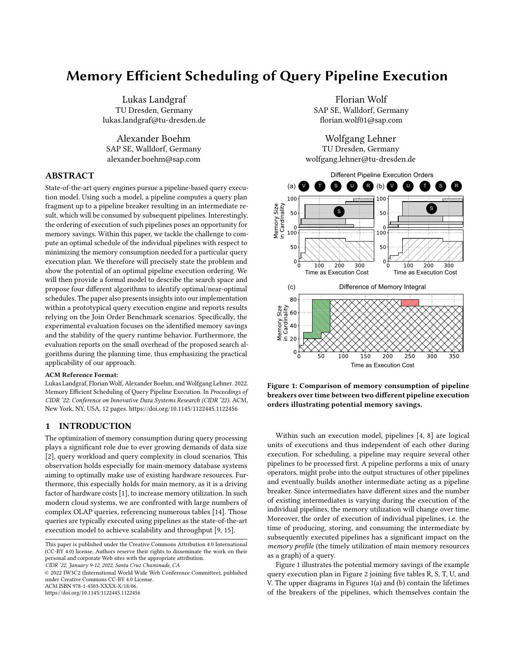CIDR '22, January 9-12, 2022, Santa Cruz Chaminade, CA Landgraf et al.



Figure 6: A pipeline execution plan with two deep trees.

vector of pipeline breaker lifetimes  $\hat{l}$ , such that the memory integral is computed by:

$$
MI = r\hbar \quad \stackrel{\mathcal{P}}{l} \tag{4}
$$

Consequently, the memory integral is the sum over all pipeline breakers  $b_i$  multiplying their memory size  $m_i$  with their lifetime  $l_i$ . The memory consumption of the pipeline breakers is 0 before they are created,  $m_i$  as soon as the respective pipeline starts operating until  $b_i$  is destructed, and 0 afterwards again.

# 3.3 PEO Search Space

After presenting the cost model, we shift the focus towards the PEO search space. We use Activity-on-Node Trees, as illustrated on the right-hand-side of Figure 2, to systematically derive one or more PEOs. AoN-Trees are similar to Activity-on-Node Graphs [6].

DEFINITION 2 (ACTIVITY-ON-NODE TREE). An Activity-on-Node Tree (AoN-Tree) is a directed acyclic graph of nodes reflecting individual pipelines. A node  $P_i$  does have the children  $P_k, \ldots, P_n$ , if the pipeline  $p_i$  consumes the pipelines  $p_k, \ldots, p_n$ . Each node  $P_i$  holds the estimated lifetime cost  $l_i$  of the pipeline  $p_i$ , and the estimated memory size  $m_i$  of the result in the pipeline breaker  $b_i$ .

The size of the search space of PEOs depends on the structure of the AoN-Tree. We can summarize the following patterns:

Right-deep structures: If individual pipelines are dependent on exactly a single intermediate, there is exactly a single PEO possible; any search for alternatives can thus be abandoned. For example, only considering the plan fragment denoted as "RDS" in Figure 6, (1) depends on (2), (2) depends on (3), and (3) depends on (4); thus, the logical dependencies prescribe the physical execution of the pipelines.

Left-deep structures: If there is a plan consisting of  $n$  pipelines that exhibits left-deep structures for probe sides, i.e., there is a single continuous pipeline from one table to the result, with multiple build sides to be probed against, the total number of PEOs is  $n-1°!$ . If all build-side pipelines have a length of 1, the best execution order is determined by successively choosing the pipelines by their smallest pipeline breakers. As soon as the constraint on the pipeline length is relaxed, the tree needs to be exhaustively searched for

the best order. For example, if pipeline (9) would not be existent, the plan fragment denoted as "LDS" in Figure 6 would provide a corresponding scenario: pipeline (6) would probe against (8) and (7) resulting in two alternative PEOs: (8, 7, 6) and (7, 8, 6).

Bushy structures: In general, we consider bushy execution plans, which fall between the two extremes of left and right deep structures. It is worth mentioning that the problem of identifying a memory optimal PEO is non-linear in nature, i.e. the size of an intermediate at the root of an execution fragment is not enough to decide on the optimal ordering of the consuming pipeline, thus requiring proper search algorithms.

#### 3.4 Exhaustive Search Algorithm

"Exhaustive Search" (ES) is the reference algorithm which we created for finding the optimal PEO according to estimated cardinalities and cost. The algorithm implements an optimization to calculate the memory cost, i.e., the memory integral, on the fly while traversing the AoN-Tree in a deepest-first-search fashion through recursion. We further explain the calculation of the memory peak value. Each node in the AoN-Tree represents a pipeline, having a lifetime and a memory size of the corresponding pipeline breaker. Initially, we invoke our recursive algorithm with the nodes that are directly reachable from the start node in the AoN-Tree as heap of active nodes. From the heap of active nodes, the algorithm continuously takes a node, removes the node from the copied active nodes heap, adds the node's memory size to the current memory peak, and calculates the new memory integral using the lifetime of the node. Whenever another node becomes directly reachable in the AoN-Tree, we append the node to our active nodes. The processed node is appended to the heap of visited nodes and we enter a recursion step using the new active nodes. If all nodes of the tree have been processed, the recursion returns the PEO, its memory integral, and memory peak value in an array of PEOs. For the evaluation we skipped collecting all PEOs and instead logged the currently best and worst PEO discovered during the search.

Algorithm 1 defines the recursive procedure. Each node has a successor node next, a count of unvisited previous nodes prevCount, an array of previous nodes prevs, memory size memorySize and execution costs lifetime. The start node has an array of successor nodes nextNodes. The recursion starts with the start node's next nodes as the active nodes (activeNodes) and logs the start node in the array of visited nodes (visitedNodes). In Line 4 of Algorithm 1, we start the iteration of all nodes among our active nodes. We remove the chosen node from the latter and calculate the memory peak as well as the current memory integral. If the chosen node has previous nodes, we remove the memory sizes of those from the memory peak in Line 9 and 10, since the memory of the pipeline breakers belonging to those nodes is freed. Lines 16 to 24 contain the mechanism to determine whether all previous nodes of a specific successor node have been visited with Line 17 appending the successor to the active nodes. Line 24 then again increments the prevCount for the currently visited node. The function as a whole returns an array of PEOs. In Line 21 and 23 each iteration adds the returned PEOs from each recursion. Those collected PEOs are then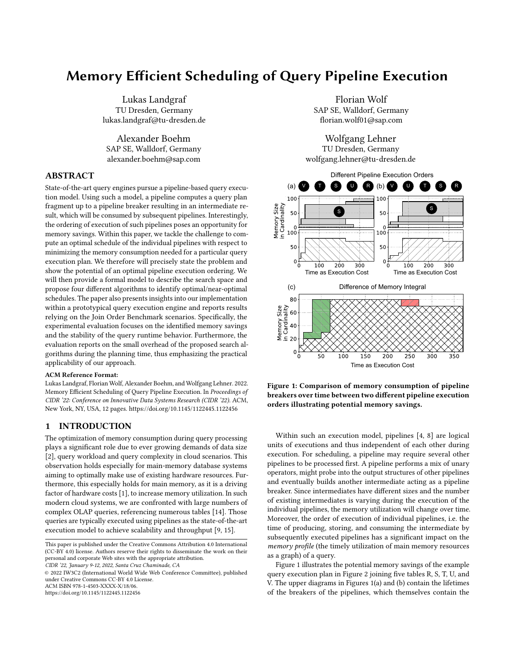Memory Efficient Scheduling of Query Pipeline Execution CIDR '22, January 9-12, 2022, Santa Cruz Chaminade, CA

Algorithm 1 Finds all possible PEOs for a given AoN-Tree. The algorithm is recursive and needs to be initiated using ES(Start.nextNodes, [Start], 0, 0), where Start is the start node of the AoN-Graph. It returns an array of all possible PEOs.

|     | 1: <b>function</b> ES(activeNodes, visitedNodes, memPeak, MI) |
|-----|---------------------------------------------------------------|
| 2:  | $peos = [$                                                    |
| 3:  | // This line can accommodate the Theta Skip Step              |
| 4:  | for n in activeNodes do                                       |
| 5:  | $newNodes = activeNodes.copy()$                               |
| 6:  | newNodes.remove(n)                                            |
| 7:  | $nextPeak = memPeak + n.memorySize$                           |
| 8:  | $nextMI = MI + nextPeak * n.lifetime$                         |
| 9:  | for i in n.prevs do                                           |
| 10: | nextPeak -= i.memorySize                                      |
| 11: | end for                                                       |
| 12: | if $n.isEnd()$ then                                           |
| 13: | return [PEO(visitedNodes + [n], nextMI, nextPeak)]            |
| 14: | end if                                                        |
| 15: | // This line can accommodate the Branch Pruning Step          |
| 16: | $n.next.prevCount = -1$                                       |
| 17: | <b>if</b> n.next.prevCount == 0 <b>then</b>                   |
| 18: | newNodes.append(n.next)                                       |
| 19: | end if                                                        |
| 20: | $newV isitedNodes = visitedNodes + [n]$                       |
| 21: | rec = ES(newNodes, newVisitedNodes, nextPeak,                 |
| 22: | nextMI)                                                       |
| 23: | $peos += rec$                                                 |
| 24: | node.next.prevCount =+ 1                                      |
| 25: | end for                                                       |
| 26: | return traversals                                             |
|     | 27: end function                                              |

returned to the caller in Line 26. In the end, the initial call receives all possible PEO, which can then be filtered for the PEO with the smallest memory integral.

# 3.5 Branch Pruning Search Algorithm

Algorithm 2 These lines can be inserted in Algorithm 1 to obtain the Branch Pruning Algorithm. The heuristic memory integral is obtained from the Longest Path Heuristic, for instance.

| heuristicMI = heuristic.getMemoryIntegral()         |  |  |  |  |
|-----------------------------------------------------|--|--|--|--|
| <b>if</b> nextMemIntegral > heuristicMI <b>then</b> |  |  |  |  |
| return $\prod$                                      |  |  |  |  |
| end if                                              |  |  |  |  |

Based on the exhaustive search algorithm, our "Branch Pruning Search" (BPS) returns an empty array of PEOs as soon as the current memory integral steps over a threshold, i.e., a memory integral calculated by a heuristic from Section 4.2, thus indicating that inside the recursion no better PEO had been found. If the array of PEOs is empty, it will return the PEO produced by the heuristic. In the evaluation, we use branch pruning with the memory integral produced by the PEO of the longest path heuristic as a baseline. The

branch pruning step can be accommodated in Line 15 of Algorithm 1.

# 4 HEURISTIC SCHEDULING ALGORITHMS

The algorithms presented up until this point guarantee to find the optimal PEO with respect to estimated cost. In this section, we explore two further algortihms, which do not guarantee to find the optimal PEO with respect to estimated cost, but near-optimal PEOs. First, we introduce the Theta Skip Search algorithm, which is a tradeoff between a smaller number of enumerated PEOs, and potentially higher estimated memory cost of the selected PEO. The second algorithm is the Longest Path Heuristic, which found PEOs with near-optimal memory cost in our experimental evaluation.

# 4.1 Theta Skip Search Algorithm

Algorithm 3 These lines can be inserted in Algorithm 1 to obtain the Theta Skip Search algorithm. Note that the recursion also needs to accommodate these lines.

|     | 1: currentSmallest = $0$                           |
|-----|----------------------------------------------------|
|     | 2: threshold = $1$ kB // or other size             |
|     | 3: smallestNode = Null                             |
|     | 4: for n in activeNodes do                         |
| 5:  | <b>if</b> n.memorySize < threshold <b>then</b>     |
| 6:  | currentSmallest = n.memorySize                     |
| 7:  | smallestNode = $n$                                 |
| 8:  | end if                                             |
|     | $9:$ end for                                       |
|     | 10: if smallestNode != Null then                   |
| 11: | memPeak += smallestNode.memorySize                 |
| 12: | MI += memPeak * smallestNode.lifetime              |
| 13: | for n in smallestNode.prevNodes do                 |
| 14: | memPeak -= n.memorySize                            |
| 15: | end for                                            |
| 16: | smallestNode.next.prevCount -= 1                   |
| 17: | <b>if</b> smallest Node.next.prevCount == $0$ then |
| 18: | activeNodes.append(node.next)                      |
| 19: | end if                                             |
| 20: | rec = ES(activeNodes\{smallestNode},               |
| 21: | visitedNode + smallestNode, memPeak, MI)           |
| 22: | smallestNode.next.prevCount += 1                   |
| 23: | return rec                                         |

#### 24: end if

In some QEPs, we may encounter many pipeline breakers with a small memory size. Even if executing them eagerly might cause the PEO to become suboptimal, the difference to a similar better PEO might be negligible, while we save a possible recursion step for each skipped node. Thus, the "Theta Skip Search" (TSS) algorithm always chooses nodes with small memory sizes below a threshold (for example 1KByte) and if many of such are found, chooses the smallest one directly. We also equipped this algorithm with the branch-pruning step. Algorithm 3 shows the necessary pseudo code, which needs to be integrated in Line 3 of Algorithm 1. Lines 3 to 9 search for the node with the smallest memory footprint which also lies below the memory size threshold. Then it proceeds to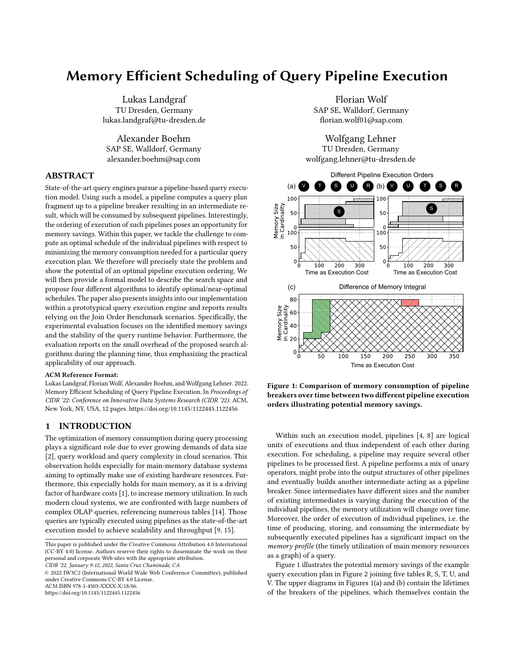CIDR '22, January 9-12, 2022, Santa Cruz Chaminade, CA Landgraf et al.



Figure 7: The AoN-Tree corresponding to Figure 6. For each node, m denotes the memory size of each breaker node, and e denotes the execution cost.

calculate the memory peak and the memory integral accordingly. It updates the prevCount as usual and then enters the recursion. This algorithm is the only considered algorithm which is neither producing only one PEO nor optimal but practically feasible, since it reduces the branching complexity.

## 4.2 Longest Path Heuristic

Figure 6 provides a more complex scenario with 9 base tables and 8 hash tables. The right side (with an arrow) represents the build side and thus the result of the input pipeline. The left side represents the probe side and thus the dependency on a specific intermediate. The corresponding AoN-Tree is shown in Figure 7. Pipeline (1) originating out of table R and probing into the hash tables built by (2) and (3) is the root node of the AoN-Tree with (2) and (3) as its child nodes. For the ease of understanding the algorithms presented in Subsection 3 and Section 4, the tree also contains "Start" and "End" nodes, which serve as starting/end points of the algorithms, and do not incur any memory or execution costs.

The heuristic "Longest Path Heuristic" (LPH) is based on the observation that deepest first execution of interdependent pipelines will yield near-optimal PEOs. For example, Figure 6 shows that while interleaving pipeline executions of different subtrees will yield the optimal result, the execution of one subtree after another in order of their length from the starting node to the result node is "close" to the optimal PEO. The corresponding algorithm works as follows: for each node within the subtree, we assign a priority to the node which corresponds to the longest node-path to which a node belongs. In Figure 7, take the path from (9) to (End): the path length is 6, since we have 6 nodes along the way. Each node on this path is assigned with the priority 6. On the path from (8) to (End), each node should be assigned with 5. In this case, only (8) will be assigned with priority 5, since the other nodes already have a longer path they belong to. The PEO-constructing algorithm will then keep a heap of available nodes for traversal, and always choose the one with the highest priority.

The priority assignment is shown in Algorithm 4. The number of hops from one of the starter's nodes to the end node (that is, how many nodes have to be passed along a path) shall be equivalent to the priority by which the path and all its nodes should be executed. Since a single node may belong to multiple paths, its priority must



Figure 8: We assign distinct priorities to the nodes of Figure 7 according to the hop-length from the nodes outgoing from the start node to the end node for each node along the path.

Algorithm 4 Assign priorities to all nodes according to the number of hops from the start node's next nodes to the end node. Higher priorities on the path override lower priorities.

| 1: function ASSIGNPRIORITIESFORLPH(startNode, endNode)                      |
|-----------------------------------------------------------------------------|
| $firstNodes = startNode.nextNodes$<br>2:                                    |
| List <node,int> nodeToPriority<br/>3:</node,int>                            |
| for node in firstNodes do<br>4:                                             |
| length = getPathLength(node, endNode)<br>5:                                 |
| nodeToPriority.insert(node, length)<br>6:                                   |
| end for<br>7:                                                               |
| sortByPriority(nodeToPriority)<br>8:                                        |
| $offsetCounter = 0$<br>9:                                                   |
| running Priority = $0$<br>10:                                               |
| for nodeAndPriority in nodeToPriority do<br>11:                             |
| <b>if</b> running Priority == node And Priority priority <b>then</b><br>12: |
| offsetCounter++<br>13:                                                      |
| else<br>14:                                                                 |
| $runningPriority = nodeAndPriority.printy$<br>15:                           |
| end if<br>16:                                                               |
| nodeAndPriority.priority += offsetCounter<br>17:                            |
| end for<br>18:                                                              |
| for np in nodeToPriority do<br>19:                                          |
| currentNode = np.node<br>20:                                                |
| while current Node $!=$ end Node do<br>21:                                  |
| $np-node.printy = np.printy$<br>22:                                         |
| currentNode = currentNode.next<br>23:                                       |
| end while<br>24:                                                            |
| end for<br>25:                                                              |
| 26: end function                                                            |

be dominated by the priority of the most "important" path it is associated with. In the algorithm we facilitate this by first examining the distance from the starter node's next nodes to the end nodes in Lines 3 - 7, and label the starter's next nodes (and only those) accordingly. We then sort the nodes from lowest to highest priority in Line 8 to be able to override node priorities from lowest to highest without checks during node labeling. To avoid having same priorities on paths with the same hop-distance from start to end, we need to introduce a running offset, which will be used to make samedistance paths have a distinct priority. This avoids "upgrading" lower priority paths to match priorities of longer distance paths.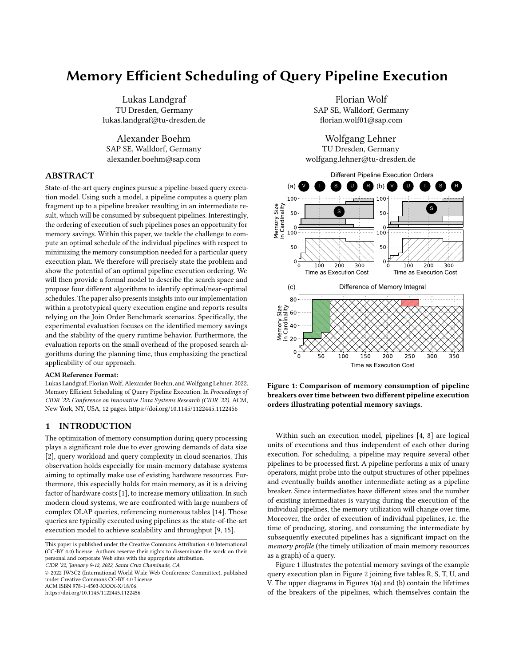For all the labelled nodes (Line 11), we first check if the running priority matches the next node's priority, and if so, we increment the offset counter; if not, we set the current running priority to the priority of the next node. Line 17 then re-assigns the priority label for the current node by the running offset. We do not increment by "1", since this would result in duplicate priorities. We finally set the priorities of all nodes in Lines 19 till 25 from lowest to highest. This algorithm still has a non-deterministic element, which is the sorting in Line 8. Nodes with same length then might or might not be upgraded effectively.

Algorithm 5 Returns a PEO according to assigned priorities in descending order.

| 1:  | function GETPEOFORPRIORITIES(startNode, endNode)     |
|-----|------------------------------------------------------|
| 2:  | possibleNodes = start.nextNodes // array of nodes    |
| 3:  | $nodeOrder = [startNode]$                            |
| 4:  | $startNode.startTime = 0$                            |
| 5:  | $currentTime = 0$                                    |
| 6:  | <b>while</b> possibleNodes $!=$ [endNode] <b>do</b>  |
| 7:  | $highestPriority = 0$                                |
| 8:  | $nextNode = null$                                    |
| 9:  | for n in possibleNodes do                            |
| 10: | <b>if</b> n.priority > highestPriority <b>then</b>   |
| 11: | highestPriority = n.priority                         |
| 12: | $nextNode = n$                                       |
| 13: | end if                                               |
| 14: | end for                                              |
| 15: | nextNode.startTime = currentTime                     |
| 16: | currentTime += nextNode.lifetime                     |
| 17: | for prevNode in nextNodes.prevs do                   |
| 18: | prevNode.endTime = currentTime                       |
| 19: | end for                                              |
| 20: | nodeOrder.append(nextNode)                           |
| 21: | nextNode.next.prevCount -= 1                         |
| 22: | <b>if</b> nextNode.next.prevCount == $0$ <b>then</b> |
| 23: | possibleNodes.append(nextNode.next)                  |
| 24: | end if                                               |
| 25: | possibleNodes.remove(nextNode)                       |
| 26: | end while                                            |
| 27: | endNode.endTime = currentTime                        |
| 28: | nodeOrder.append(endNode)                            |
| 29: | $MI = 0$                                             |
| 30: | for n in nodeOrder do                                |
| 31: | $MI = (n.endTime - n.startTime) * n-memorySize$      |
| 32: | end for                                              |
| 33: | return PEO(nodeOrder, MI)                            |
|     | 34: end function                                     |

Algorithm 5 lists the mechanism of the priority execution. Given the start node startNode and the end node endNode of the AoN-Tree, where each node in the tree has an assigned priority, and the start and end times are initialized to 0. The first possible nodes are obtained from the start node in Line 2. Iteratively, the algorithm chooses the node with the highest available priority in Lines 9 to 14. It then calculates the start and end time stamps of the node, and annotates the nodes using those in Lines 15 and 18. In Lines

21 to 24 it determines which nodes can be appended to the current possibleNodes, and adds them in that case. In Lines 29 to 32, the memory integral MI is calculated using the start and end times, and returns the obtained order of nodes as the PEO.

## 5 EXPERIMENTAL EVALUATION

As mentioned within the motivation, the experimental investigation aims at three aspects of the problem of memory-efficient ordering of query execution pipelines. First, we confirm the motivation of the work by showing the predicted memory integral improvements with respect to different PEOs of individual queries. Second, we show that there is a correlation between the predicted memory integral and the measured memory integral in execution. Third, we aim at confirming the hypothesis that different PEOs (with potentially different memory profiles) show the same runtime performance, i.e., there is no performance degradation when executing more memory-efficient PEOs. Fourth, we demonstrate the efficiency of the algorithms and provide numbers to quantify the minimal overhead during planning time according to the different types of algorithms.

# 5.1 Experimental Setting

We implemented all algorithms within the database engine prototype used by previous work [17, 18], which implements pipelined  $\frac{1}{2}$  and  $\frac{1}{2}$  are  $\frac{1}{2}$ . The PEO search algorithm implementations are single-threaded. The entire system is compiled with GCC 7.5.0 using option -O3. We measured the memory utilized by a pipeline breaker by multiplying the number of rows by the size of the tuples contained within the pipeline breaker in bytes. Execution time is measured by recording the time before and after the execution of a pipeline. The cardinalities for optimization of the PEO were taken after execution of the respective query. The query was re-executed for ten iterations.

For the evaluation we chose to evaluate all queries of the Join Order Benchmark [10] and removed all non-join query operators, because we (a) focus on pipeline breakers induced by hash joins and (b) the prototype only supports joins but not all other necessary operators. Due to the removal of such operators, we were only able to execute queries 1-14, 20, 26, 27, 32, 33. As the cost model for enumeration and prediction we chose  $C_{out}$  as the basic cost function that we use to compute Equation 2, with  $\hat{\sigma} = 0$  since we add no writing costs. We also disregard final breakers as consumers of memory, since they only add a constant to the memory integral that does not depend on the PEO.

The experiments were executed on a 2-socket NUMA system using two 20-core Intel Xeon Platinum 8260 CPUs clocked at 2.40GHz. The system was equipped with 160GByte of RAM. The operating system was equipped with a Linux 5.11.11 kernel. We executed each query at least once before starting with the actual measurements. To minimize external effects (like caching), we sequentially executed the set of queries clustered by the individual search algorithms.

# 5.2 Minimizing Memory Integrals

Let us first examine the predicted improvements comparing the PEOs for the different algorithms we introduced. For queries 6,

<sup>&</sup>lt;sup>1</sup> Finalist in the 2018 ACM SIGMOD Programming Contest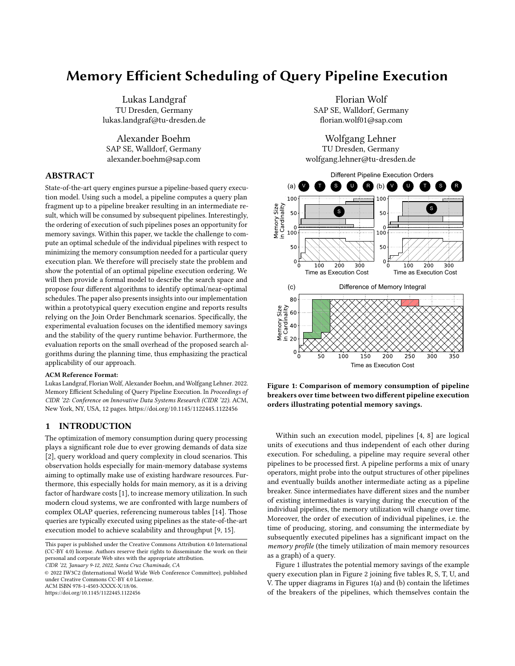CIDR '22, January 9-12, 2022, Santa Cruz Chaminade, CA Landgraf et al.



Figure 9: The predicted memory integral for each of the algorithms is shown for the individual queries. SF<sup>\*</sup> indicates the scale factor with which the "aka\_name" table is scaled. Note the baseline MI for each diagram, lower is better.



Figure 10: Gantt diagrams showing the memory integral areas over time for query 9 of the JOB. In purple, the pipeline originating from the base table "aka\_name" is indicated.

8, and 9 of the Join Order Benchmark we were able to observe a difference between the best and worst possible memory integral. Figure 9 shows the resulting memory integral (MI) improvements, where the worst PEO serves as the relative baseline. We also introduce two skewed data sets: for the first one, "SF2", we scaled the "aka\_name" table to 2.075 million tuples, where we do not introduce any join partners to any join, and for "SF4" to 4.15 million tuples the same accordingly. We did this to demonstrate that for highly skewed data sets, the improvements might be more substantial. As Figure 9 shows, we were able to observe improvements of 3.1% for query 6 with the worst PEO as the baseline, where the non-optimal algorithms also found the best possible PEO. For the other considered queries 8 and 9, this was not the case for neither data set. For the unscaled data set, query 8 yielded an MI improvement of 2.8%, where the optimal PEO was less than 0.001% better than the PEO found by the heuristic. The results are similar for the other query-data-set combinations. For query 9 and the SF4 data set, we were able to observe improvements in MI of 11.1%.



Figure 11: Each dot in this graph represents a PEO and their respective predicted as well as their measured memory integral.

# 5.3 Correlation between Predicted and Measured Memory Integral

To examine the correlation between the predicted memory integral and the measured memory integral, we measured the pipeline execution times of the individual pipelines for 20 iterations. After doing so, we took the average of all pipeline execution times and calculated the memory integrals for each possible PEO for a given query using the averages. This is plausible, since pipeline execution times do not depend on the PEO and thus should stay constant. In Figure 11 the predicted and measured memory integrals are plotted of all 840 PEOs for query 9 of the Join Order Benchmark with the "aka\_name" column scaled to 4.15 million tuples and the "company\_name" scaled to 240 thousand tuples. Each dot represents a PEO with the predicted and the measured memory integral. The graph indicates that there is a linear correlation between the predicted and the measured memory integral.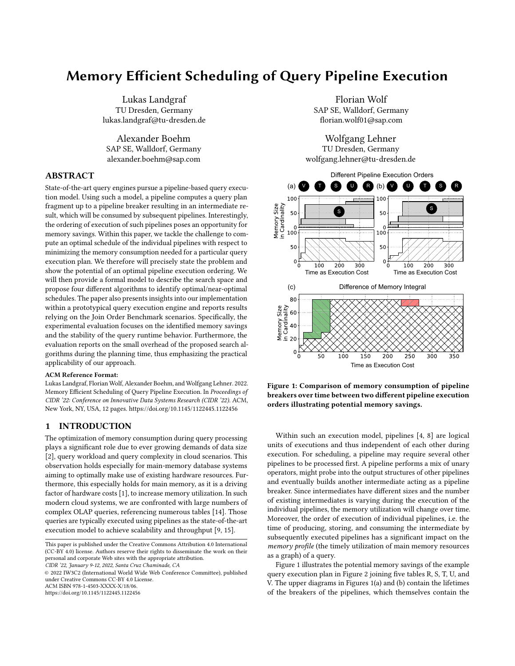Memory Efficient Scheduling of Query Pipeline Execution CIDR '22, January 9-12, 2022, Santa Cruz Chaminade, CA

| Algo       | Ouery | 06   | 08        | 09               | 20                | 26                | 33         |
|------------|-------|------|-----------|------------------|-------------------|-------------------|------------|
| ES         |       | 63us | 357us     | 1881us           | 342us             | 11ms              | 302ms      |
| LPH        |       | 49us | $71\mu s$ | 81 <sub>us</sub> | 152 <sub>us</sub> | 194 <sub>us</sub> | $348\mu s$ |
| <b>TSS</b> |       | 63us | 366us     | $1560\mu s$      | 217 <sub>us</sub> | 449us             | 148ms      |
| <b>BPS</b> |       | 59us | 196us     | 679us            | 245us             | 5065us            | 67ms       |

Figure 12: Optimization times for the indicated queries



Figure 13: The execution times of different queries including optimization time is shown with different pipeline execution orders provided by the indicated algorithms. The average execution time of any run for one query is taken as a baseline.

## 5.4 Performance Stability

For observing the performance stability, we evaluated the optimization times of query 6, 8, 9, 20, 26, and 33 for all search algorithms. The table in Figure 12 shows the respective optimization times. Except for query 6 and 8, the exhaustive algorithm incurs the largest optimization times, and for query 33 exhibiting 302ms of optimization time due to 60480 total enumerations of PEOs, while the actual execution of the query is only 11.057s. This is an outlier in terms of optimization time relative to overall execution costs, while also not providing significant memory integral improvements. TSS as our only non-optimal non-heuristic only outperforms BPS for queries 20 and 26, which might be caused by the early skipping of nodes with small memory costs. In the other cases, BPS was also faster, and for query 33 it outperformed TSS by 81ms. Except for query 8 and 9 the LPH found close-to or optimal PEOs, while always outperforming the other algorithms in terms of runtime, and for query 33 only incurring optimization times of just 348µs.

# 5.5 Overhead for identifying PEOs

We now demonstrate the absence of an impact of the optimization on query execution in terms of a) negligible optimization costs and b) absence of impact of the executed PEO on overall query execution times. The execution times for the strategies provided by each algorithm are plotted in Figure 13. With query 33 being an extreme outlier, the optimization had an impact of less than 0.006% of the overall execution time in the worst case. Furthermore, the data empirically shows that the choice of ordering of pipelines has no impact on the execution speed, being masked by other effects.

# 6 RELATED WORK

While pipeline-based query execution reflects the state-of-the-art in modern database engines, the impact of orderings with respect to memory consumption for intermediates holding the materialized pipeline breakers is not yet investigated in depth. Nevertheless, this research work is tapping into the rich bouquet of work in the context of query optimization. For example, [15] is mainly concerned with the question of "how can we organize query processing such that the data can be kept in CPU registers as long as possible?" The order of pipelines is not of interest. Scheduling of individual work units (e.g., Morsels [9]) in the context of multi-core systems is also discussed, e.g., [11, 16]; compared to execution pipelines, morsels are significantly more fine granular and thus the optimization aims to exploit existing hardware capabilities but not to reduce the overall memory consumption. Finally, the work also touches upon query optimization beyond performance. Related in the wider sense is the research field for robust query optimization [13, 17, 20], which again may subsume our goal of optimizing pipeline execution orders without compromising performance as one of multiple facets. Performance simulations and query optimization or query runtime estimation [12, 19] is also related but may be considered orthogonal, since our reordering approach does not influence the overall query execution time. From an algorithmic perspective, the problem of ordering pipelines with dependencies is also addressed in the context of operations research; [5, 6] provides an in-depth overview of a magnitude of optimization algorithms, which also served as a blueprint to devise search algorithms outlines in Subsection 3.3 and Section 4. The authors of Chain [3] take a similar approach to our work by examining memory consumption for incoming streams of tuples and keeping it below the available main memory bounds of the system. In their model, they also handle operators via pipelines, but those pipelines do not handle tuples in a tuple-at-a-time fashion, but instead write processed tuples into intermediates after each operator. Thus, they identify different algorithmic strategies to process incoming streams of tuples in a memory efficient way across several operator stages, and propose a new algorithm, called Chain, which is optimal according to the goal of always keeping the memory consumption as low as possible at a given time.

#### 7 CONCLUSION

In this paper, we are motivating the case of scheduling the execution of query pipelines in order to optimize for memory consumption. Using an illustrative example, we showcased the potential of a "good" ordering of execution pipelines in query execution graphs. We discussed different optimization goals, provided a framework to formally describe the search space, and devised four different algorithms to identify PEOs for a given query. Our proposed heuristics incorporated into the exhaustive algorithm provide early noncandidate pruning, thus presenting themselves as promising algorithmic approaches. Within the experimental section, we provided insights into our findings based on an implementation of the algorithms in the context of a pipelined execution engine using the Join-Order-Benchmark. We reported detailed facts on a sample of queries with respect to potential savings of the memory integral, showed the stability of the performance even for memory-efficient